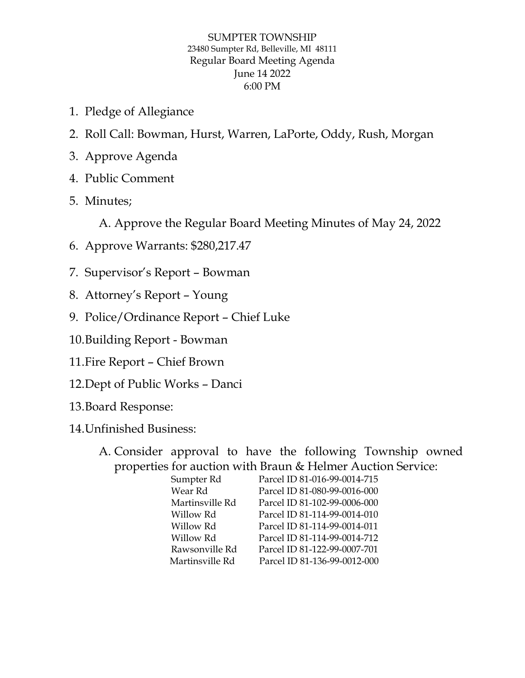## SUMPTER TOWNSHIP 23480 Sumpter Rd, Belleville, MI 48111 Regular Board Meeting Agenda June 14 2022 6:00 PM

- 1. Pledge of Allegiance
- 2. Roll Call: Bowman, Hurst, Warren, LaPorte, Oddy, Rush, Morgan
- 3. Approve Agenda
- 4. Public Comment
- 5. Minutes;

A. Approve the Regular Board Meeting Minutes of May 24, 2022

- 6. Approve Warrants: \$280,217.47
- 7. Supervisor's Report Bowman
- 8. Attorney's Report Young
- 9. Police/Ordinance Report Chief Luke
- 10.Building Report Bowman
- 11.Fire Report Chief Brown
- 12.Dept of Public Works Danci
- 13.Board Response:
- 14.Unfinished Business:
	- A. Consider approval to have the following Township owned properties for auction with Braun & Helmer Auction Service:

| Sumpter Rd      | Parcel ID 81-016-99-0014-715 |
|-----------------|------------------------------|
| Wear Rd         | Parcel ID 81-080-99-0016-000 |
| Martinsville Rd | Parcel ID 81-102-99-0006-000 |
| Willow Rd       | Parcel ID 81-114-99-0014-010 |
| Willow Rd       | Parcel ID 81-114-99-0014-011 |
| Willow Rd       | Parcel ID 81-114-99-0014-712 |
| Rawsonville Rd  | Parcel ID 81-122-99-0007-701 |
| Martinsville Rd | Parcel ID 81-136-99-0012-000 |